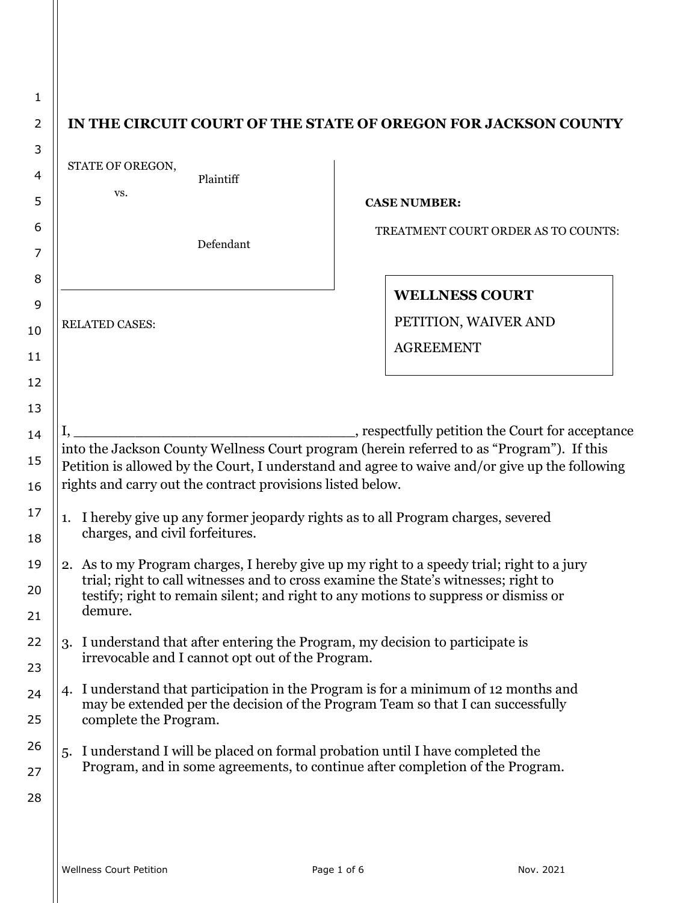| 1              |                                                                                                                                                                            |                                                                                                                                             |
|----------------|----------------------------------------------------------------------------------------------------------------------------------------------------------------------------|---------------------------------------------------------------------------------------------------------------------------------------------|
| 2              |                                                                                                                                                                            | IN THE CIRCUIT COURT OF THE STATE OF OREGON FOR JACKSON COUNTY                                                                              |
| 3              | STATE OF OREGON,                                                                                                                                                           |                                                                                                                                             |
| $\overline{4}$ | Plaintiff<br>VS.                                                                                                                                                           |                                                                                                                                             |
| 5              |                                                                                                                                                                            | <b>CASE NUMBER:</b>                                                                                                                         |
| 6              | Defendant                                                                                                                                                                  | TREATMENT COURT ORDER AS TO COUNTS:                                                                                                         |
| 7              |                                                                                                                                                                            |                                                                                                                                             |
| 8              |                                                                                                                                                                            | <b>WELLNESS COURT</b>                                                                                                                       |
| 9              |                                                                                                                                                                            | PETITION, WAIVER AND                                                                                                                        |
| 10             | <b>RELATED CASES:</b>                                                                                                                                                      | <b>AGREEMENT</b>                                                                                                                            |
| 11             |                                                                                                                                                                            |                                                                                                                                             |
| 12             |                                                                                                                                                                            |                                                                                                                                             |
| 13             |                                                                                                                                                                            |                                                                                                                                             |
| 14             |                                                                                                                                                                            | respectfully petition the Court for acceptance<br>into the Jackson County Wellness Court program (herein referred to as "Program"). If this |
| 15             |                                                                                                                                                                            | Petition is allowed by the Court, I understand and agree to waive and/or give up the following                                              |
| 16             | rights and carry out the contract provisions listed below.                                                                                                                 |                                                                                                                                             |
| 17             | I hereby give up any former jeopardy rights as to all Program charges, severed<br>1.                                                                                       |                                                                                                                                             |
| 18             | charges, and civil forfeitures.                                                                                                                                            |                                                                                                                                             |
| 19             | 2. As to my Program charges, I hereby give up my right to a speedy trial; right to a jury                                                                                  |                                                                                                                                             |
| 20             | trial; right to call witnesses and to cross examine the State's witnesses; right to<br>testify; right to remain silent; and right to any motions to suppress or dismiss or |                                                                                                                                             |
| 21             | demure.                                                                                                                                                                    |                                                                                                                                             |
| 22             | 3. I understand that after entering the Program, my decision to participate is                                                                                             |                                                                                                                                             |
| 23             | irrevocable and I cannot opt out of the Program.                                                                                                                           |                                                                                                                                             |
| 24             | 4. I understand that participation in the Program is for a minimum of 12 months and<br>may be extended per the decision of the Program Team so that I can successfully     |                                                                                                                                             |
| 25             | complete the Program.                                                                                                                                                      |                                                                                                                                             |
| 26             | I understand I will be placed on formal probation until I have completed the<br>5.                                                                                         |                                                                                                                                             |
| 27             | Program, and in some agreements, to continue after completion of the Program.                                                                                              |                                                                                                                                             |
| 28             |                                                                                                                                                                            |                                                                                                                                             |
|                |                                                                                                                                                                            |                                                                                                                                             |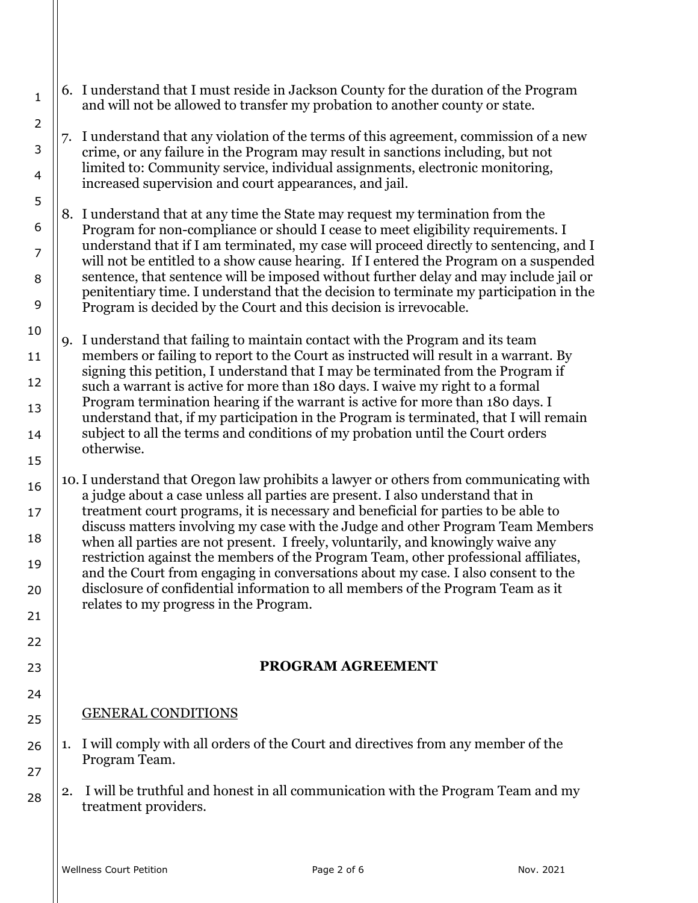- 6. I understand that I must reside in Jackson County for the duration of the Program and will not be allowed to transfer my probation to another county or state.
- 7. I understand that any violation of the terms of this agreement, commission of a new crime, or any failure in the Program may result in sanctions including, but not limited to: Community service, individual assignments, electronic monitoring, increased supervision and court appearances, and jail.
- 8. I understand that at any time the State may request my termination from the Program for non-compliance or should I cease to meet eligibility requirements. I understand that if I am terminated, my case will proceed directly to sentencing, and I will not be entitled to a show cause hearing. If I entered the Program on a suspended sentence, that sentence will be imposed without further delay and may include jail or penitentiary time. I understand that the decision to terminate my participation in the Program is decided by the Court and this decision is irrevocable.
- 9. I understand that failing to maintain contact with the Program and its team members or failing to report to the Court as instructed will result in a warrant. By signing this petition, I understand that I may be terminated from the Program if such a warrant is active for more than 180 days. I waive my right to a formal Program termination hearing if the warrant is active for more than 180 days. I understand that, if my participation in the Program is terminated, that I will remain subject to all the terms and conditions of my probation until the Court orders otherwise.
- 10.I understand that Oregon law prohibits a lawyer or others from communicating with a judge about a case unless all parties are present. I also understand that in treatment court programs, it is necessary and beneficial for parties to be able to discuss matters involving my case with the Judge and other Program Team Members when all parties are not present. I freely, voluntarily, and knowingly waive any restriction against the members of the Program Team, other professional affiliates, and the Court from engaging in conversations about my case. I also consent to the disclosure of confidential information to all members of the Program Team as it relates to my progress in the Program.

## **PROGRAM AGREEMENT**

## GENERAL CONDITIONS

- 26 27 1. I will comply with all orders of the Court and directives from any member of the Program Team.
	- 2. I will be truthful and honest in all communication with the Program Team and my treatment providers.

23

24

25

28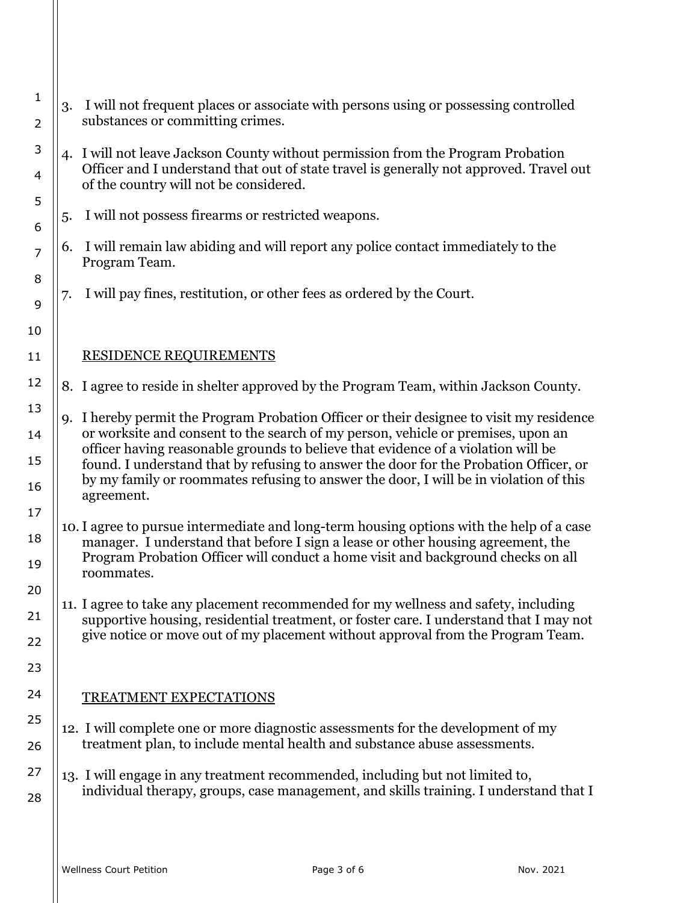| 1<br>2         |    | 3. I will not frequent places or associate with persons using or possessing controlled<br>substances or committing crimes.                                                                                            |
|----------------|----|-----------------------------------------------------------------------------------------------------------------------------------------------------------------------------------------------------------------------|
| 3<br>4         |    | 4. I will not leave Jackson County without permission from the Program Probation<br>Officer and I understand that out of state travel is generally not approved. Travel out<br>of the country will not be considered. |
| 5<br>6         | 5. | I will not possess firearms or restricted weapons.                                                                                                                                                                    |
| $\overline{7}$ | 6. | I will remain law abiding and will report any police contact immediately to the<br>Program Team.                                                                                                                      |
| 8<br>9         | 7. | I will pay fines, restitution, or other fees as ordered by the Court.                                                                                                                                                 |
| 10             |    |                                                                                                                                                                                                                       |
| 11             |    | <b>RESIDENCE REQUIREMENTS</b>                                                                                                                                                                                         |
| 12             |    | 8. I agree to reside in shelter approved by the Program Team, within Jackson County.                                                                                                                                  |
| 13             |    | 9. I hereby permit the Program Probation Officer or their designee to visit my residence<br>or worksite and consent to the search of my person, vehicle or premises, upon an                                          |
| 14<br>15       |    | officer having reasonable grounds to believe that evidence of a violation will be<br>found. I understand that by refusing to answer the door for the Probation Officer, or                                            |
| 16             |    | by my family or roommates refusing to answer the door, I will be in violation of this<br>agreement.                                                                                                                   |
| 17             |    | 10. I agree to pursue intermediate and long-term housing options with the help of a case                                                                                                                              |
| 18<br>19       |    | manager. I understand that before I sign a lease or other housing agreement, the<br>Program Probation Officer will conduct a home visit and background checks on all<br>roommates.                                    |
| 20             |    |                                                                                                                                                                                                                       |
| 21             |    | 11. I agree to take any placement recommended for my wellness and safety, including<br>supportive housing, residential treatment, or foster care. I understand that I may not                                         |
| 22             |    | give notice or move out of my placement without approval from the Program Team.                                                                                                                                       |
| 23             |    |                                                                                                                                                                                                                       |
| 24             |    | <b>TREATMENT EXPECTATIONS</b>                                                                                                                                                                                         |
| 25<br>26       |    | 12. I will complete one or more diagnostic assessments for the development of my<br>treatment plan, to include mental health and substance abuse assessments.                                                         |
| 27             |    | 13. I will engage in any treatment recommended, including but not limited to,                                                                                                                                         |
| 28             |    | individual therapy, groups, case management, and skills training. I understand that I                                                                                                                                 |
|                |    |                                                                                                                                                                                                                       |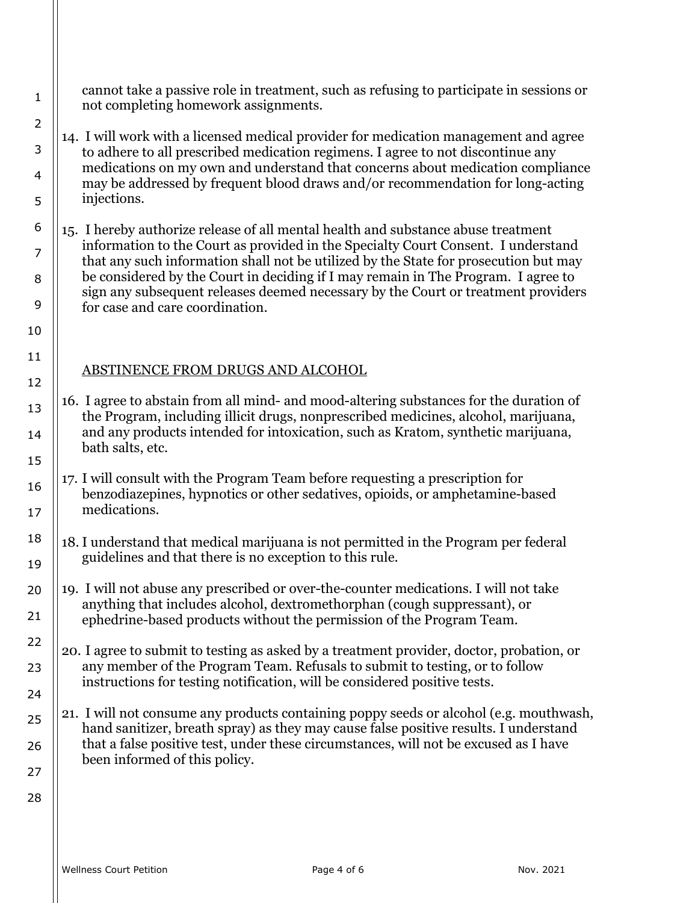cannot take a passive role in treatment, such as refusing to participate in sessions or not completing homework assignments.

14. I will work with a licensed medical provider for medication management and agree to adhere to all prescribed medication regimens. I agree to not discontinue any medications on my own and understand that concerns about medication compliance may be addressed by frequent blood draws and/or recommendation for long-acting injections.

15. I hereby authorize release of all mental health and substance abuse treatment information to the Court as provided in the Specialty Court Consent. I understand that any such information shall not be utilized by the State for prosecution but may be considered by the Court in deciding if I may remain in The Program. I agree to sign any subsequent releases deemed necessary by the Court or treatment providers for case and care coordination.

## ABSTINENCE FROM DRUGS AND ALCOHOL

- 16. I agree to abstain from all mind- and mood-altering substances for the duration of the Program, including illicit drugs, nonprescribed medicines, alcohol, marijuana, and any products intended for intoxication, such as Kratom, synthetic marijuana, bath salts, etc.
- 17. I will consult with the Program Team before requesting a prescription for benzodiazepines, hypnotics or other sedatives, opioids, or amphetamine-based medications.
- 18 19 18. I understand that medical marijuana is not permitted in the Program per federal guidelines and that there is no exception to this rule.
- 20 21 19. I will not abuse any prescribed or over-the-counter medications. I will not take anything that includes alcohol, dextromethorphan (cough suppressant), or ephedrine-based products without the permission of the Program Team.
	- 20. I agree to submit to testing as asked by a treatment provider, doctor, probation, or any member of the Program Team. Refusals to submit to testing, or to follow instructions for testing notification, will be considered positive tests.
	- 21. I will not consume any products containing poppy seeds or alcohol (e.g. mouthwash, hand sanitizer, breath spray) as they may cause false positive results. I understand that a false positive test, under these circumstances, will not be excused as I have been informed of this policy.

1

2

3

4

5

6

7

8

9

10

11

12

13

14

15

16

17

22

23

24

25

26

27

28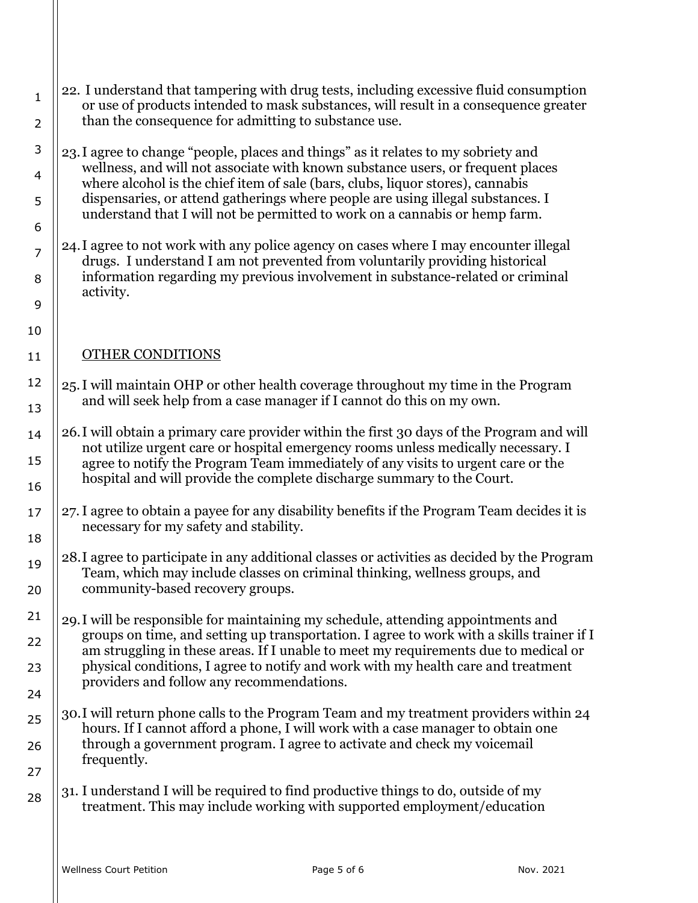| $\mathbf{1}$   | 22. I understand that tampering with drug tests, including excessive fluid consumption<br>or use of products intended to mask substances, will result in a consequence greater |
|----------------|--------------------------------------------------------------------------------------------------------------------------------------------------------------------------------|
| $\overline{2}$ | than the consequence for admitting to substance use.                                                                                                                           |
| 3              | 23. I agree to change "people, places and things" as it relates to my sobriety and<br>wellness, and will not associate with known substance users, or frequent places          |
| 4<br>5         | where alcohol is the chief item of sale (bars, clubs, liquor stores), cannabis<br>dispensaries, or attend gatherings where people are using illegal substances. I              |
| 6              | understand that I will not be permitted to work on a cannabis or hemp farm.                                                                                                    |
| $\overline{7}$ | 24. I agree to not work with any police agency on cases where I may encounter illegal<br>drugs. I understand I am not prevented from voluntarily providing historical          |
| 8              | information regarding my previous involvement in substance-related or criminal<br>activity.                                                                                    |
| 9              |                                                                                                                                                                                |
| 10             |                                                                                                                                                                                |
| 11             | <b>OTHER CONDITIONS</b>                                                                                                                                                        |
| 12             | 25. I will maintain OHP or other health coverage throughout my time in the Program                                                                                             |
| 13             | and will seek help from a case manager if I cannot do this on my own.                                                                                                          |
| 14             | 26. I will obtain a primary care provider within the first 30 days of the Program and will                                                                                     |
| 15             | not utilize urgent care or hospital emergency rooms unless medically necessary. I<br>agree to notify the Program Team immediately of any visits to urgent care or the          |
| 16             | hospital and will provide the complete discharge summary to the Court.                                                                                                         |
| 17             | 27. I agree to obtain a payee for any disability benefits if the Program Team decides it is<br>necessary for my safety and stability.                                          |
| 18             |                                                                                                                                                                                |
| 19             | 28.I agree to participate in any additional classes or activities as decided by the Program<br>Team, which may include classes on criminal thinking, wellness groups, and      |
| 20             | community-based recovery groups.                                                                                                                                               |
| 21             | 29. I will be responsible for maintaining my schedule, attending appointments and<br>groups on time, and setting up transportation. I agree to work with a skills trainer if I |
| 22             | am struggling in these areas. If I unable to meet my requirements due to medical or                                                                                            |
| 23             | physical conditions, I agree to notify and work with my health care and treatment<br>providers and follow any recommendations.                                                 |
| 24             |                                                                                                                                                                                |
| 25             | 30. I will return phone calls to the Program Team and my treatment providers within 24<br>hours. If I cannot afford a phone, I will work with a case manager to obtain one     |
| 26             | through a government program. I agree to activate and check my voicemail<br>frequently.                                                                                        |
| 27             |                                                                                                                                                                                |
| 28             | 31. I understand I will be required to find productive things to do, outside of my<br>treatment. This may include working with supported employment/education                  |
|                |                                                                                                                                                                                |